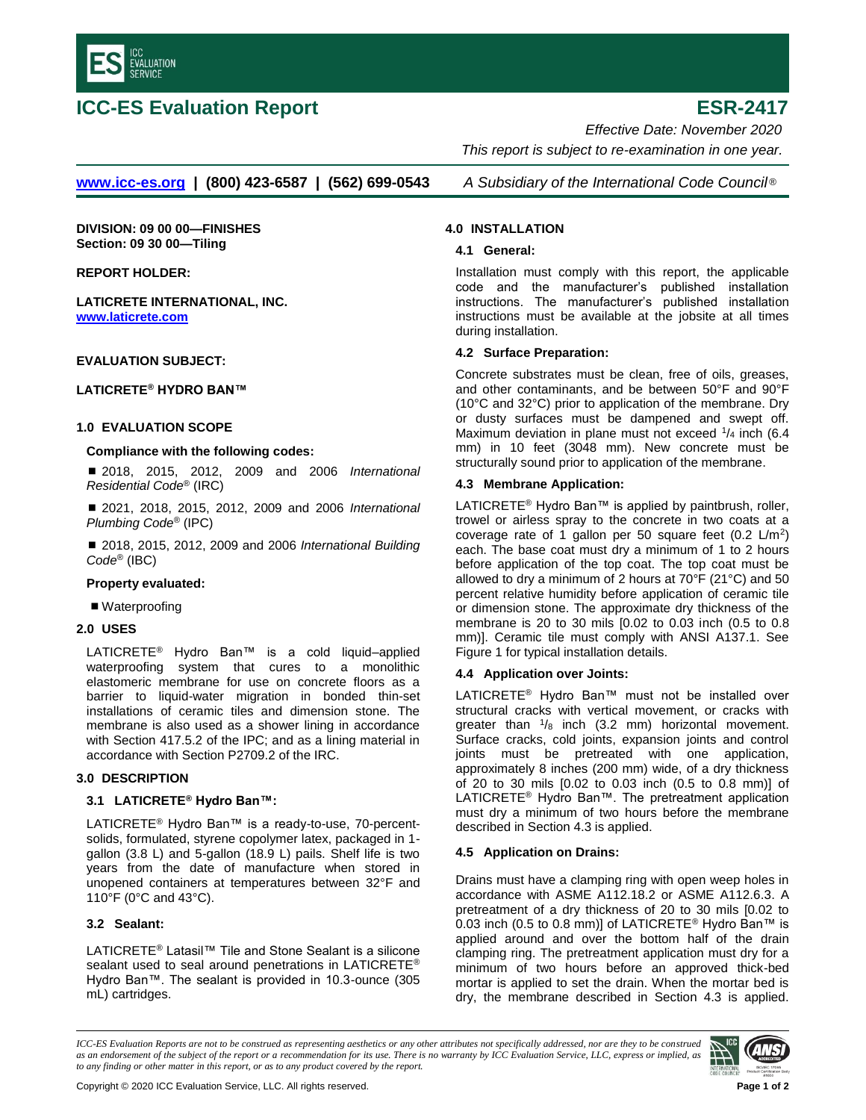

# **ICC-ES Evaluation Report ESR-2417**

 *Effective Date: November 2020 This report is subject to re-examination in one year.*

**[www.icc-es.org](http://www.icc-es.org/) | (800) 423-6587 | (562) 699-0543** *A Subsidiary of the International Code Council* ®

**DIVISION: 09 00 00—FINISHES Section: 09 30 00—Tiling**

**REPORT HOLDER:**

**LATICRETE INTERNATIONAL, INC. [www.laticrete.com](file://///iccwhfs.iccsafe-int.org/Shared/user/shared/es/Reports%20-%20Typeset/Typeset%20Reports/ESRs/www.laticrete.com)**

# **EVALUATION SUBJECT:**

# **LATICRETE® HYDRO BAN™**

# **1.0 EVALUATION SCOPE**

# **Compliance with the following codes:**

■ 2018, 2015, 2012, 2009 and 2006 *International Residential Code*® (IRC)

■ 2021, 2018, 2015, 2012, 2009 and 2006 *International Plumbing Code*® (IPC)

■ 2018, 2015, 2012, 2009 and 2006 *International Building Code*® (IBC)

#### **Property evaluated:**

■ Waterproofing

# **2.0 USES**

LATICRETE® Hydro Ban™ is a cold liquid–applied waterproofing system that cures to a monolithic elastomeric membrane for use on concrete floors as a barrier to liquid-water migration in bonded thin-set installations of ceramic tiles and dimension stone. The membrane is also used as a shower lining in accordance with Section 417.5.2 of the IPC; and as a lining material in accordance with Section P2709.2 of the IRC.

# **3.0 DESCRIPTION**

# **3.1 LATICRETE® Hydro Ban™:**

LATICRETE® Hydro Ban™ is a ready-to-use, 70-percentsolids, formulated, styrene copolymer latex, packaged in 1 gallon (3.8 L) and 5-gallon (18.9 L) pails. Shelf life is two years from the date of manufacture when stored in unopened containers at temperatures between 32°F and 110°F (0°C and 43°C).

# **3.2 Sealant:**

LATICRETE® Latasil™ Tile and Stone Sealant is a silicone sealant used to seal around penetrations in LATICRETE® Hydro Ban™. The sealant is provided in 10.3-ounce (305 mL) cartridges.

# **4.0 INSTALLATION**

# **4.1 General:**

Installation must comply with this report, the applicable code and the manufacturer's published installation instructions. The manufacturer's published installation instructions must be available at the jobsite at all times during installation.

# **4.2 Surface Preparation:**

Concrete substrates must be clean, free of oils, greases, and other contaminants, and be between 50°F and 90°F (10°C and 32°C) prior to application of the membrane. Dry or dusty surfaces must be dampened and swept off. Maximum deviation in plane must not exceed  $\frac{1}{4}$  inch (6.4) mm) in 10 feet (3048 mm). New concrete must be structurally sound prior to application of the membrane.

# **4.3 Membrane Application:**

LATICRETE® Hydro Ban™ is applied by paintbrush, roller, trowel or airless spray to the concrete in two coats at a coverage rate of 1 gallon per 50 square feet  $(0.2 \text{ L/m}^2)$ each. The base coat must dry a minimum of 1 to 2 hours before application of the top coat. The top coat must be allowed to dry a minimum of 2 hours at 70°F (21°C) and 50 percent relative humidity before application of ceramic tile or dimension stone. The approximate dry thickness of the membrane is 20 to 30 mils [0.02 to 0.03 inch (0.5 to 0.8 mm)]. Ceramic tile must comply with ANSI A137.1. See Figure 1 for typical installation details.

# **4.4 Application over Joints:**

LATICRETE® Hydro Ban™ must not be installed over structural cracks with vertical movement, or cracks with greater than  $\frac{1}{8}$  inch (3.2 mm) horizontal movement. Surface cracks, cold joints, expansion joints and control joints must be pretreated with one application, approximately 8 inches (200 mm) wide, of a dry thickness of 20 to 30 mils [0.02 to 0.03 inch (0.5 to 0.8 mm)] of LATICRETE® Hydro Ban™. The pretreatment application must dry a minimum of two hours before the membrane described in Section 4.3 is applied.

# **4.5 Application on Drains:**

Drains must have a clamping ring with open weep holes in accordance with ASME A112.18.2 or ASME A112.6.3. A pretreatment of a dry thickness of 20 to 30 mils [0.02 to 0.03 inch (0.5 to 0.8 mm)] of LATICRETE® Hydro Ban™ is applied around and over the bottom half of the drain clamping ring. The pretreatment application must dry for a minimum of two hours before an approved thick-bed mortar is applied to set the drain. When the mortar bed is dry, the membrane described in Section 4.3 is applied.

*ICC-ES Evaluation Reports are not to be construed as representing aesthetics or any other attributes not specifically addressed, nor are they to be construed as an endorsement of the subject of the report or a recommendation for its use. There is no warranty by ICC Evaluation Service, LLC, express or implied, as to any finding or other matter in this report, or as to any product covered by the report.*